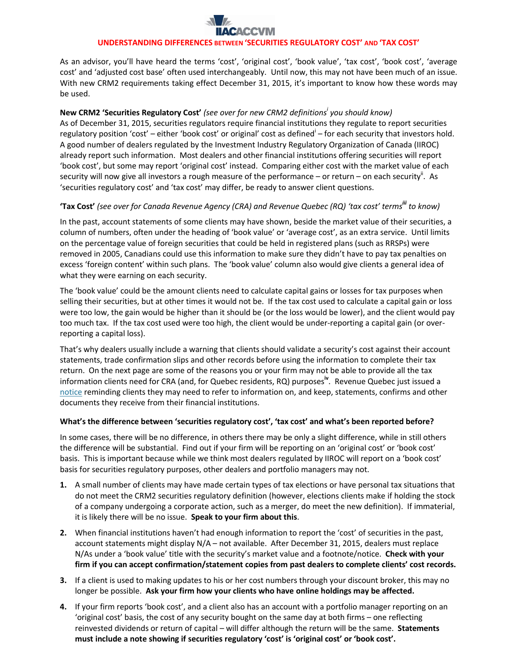# **UNDERSTANDING DIFFERENCES BETWEEN 'SECURITIES REGULATORY COST' AND 'TAX COST'**

As an advisor, you'll have heard the terms 'cost', 'original cost', 'book value', 'tax cost', 'book cost', 'average cost' and 'adjusted cost base' often used interchangeably. Until now, this may not have been much of an issue. With new CRM2 requirements taking effect December 31, 2015, it's important to know how these words may be used.

## **New CRM2 'Securities Regulatory Cost'** *(see over for new CRM2 definitions<sup>i</sup> you should know)*

As of December 31, 2015, securities regulators require financial institutions they regulate to report securities regulatory position 'cost' – either 'book cost' or original' cost as defined<sup>i</sup> – for each security that investors hold. A good number of dealers regulated by the Investment Industry Regulatory Organization of Canada (IIROC) already report such information. Most dealers and other financial institutions offering securities will report 'book cost', but some may report 'original cost' instead. Comparing either cost with the market value of each security will now give all investors a rough measure of the performance – or return – on each security<sup>ii</sup>. As 'securities regulatory cost' and 'tax cost' may differ, be ready to answer client questions.

## **'Tax Cost'** *(see over for Canada Revenue Agency (CRA) and Revenue Quebec (RQ) 'tax cost' termsiii to know)*

In the past, account statements of some clients may have shown, beside the market value of their securities, a column of numbers, often under the heading of 'book value' or 'average cost', as an extra service. Until limits on the percentage value of foreign securities that could be held in registered plans (such as RRSPs) were removed in 2005, Canadians could use this information to make sure they didn't have to pay tax penalties on excess 'foreign content' within such plans. The 'book value' column also would give clients a general idea of what they were earning on each security.

The 'book value' could be the amount clients need to calculate capital gains or losses for tax purposes when selling their securities, but at other times it would not be. If the tax cost used to calculate a capital gain or loss were too low, the gain would be higher than it should be (or the loss would be lower), and the client would pay too much tax. If the tax cost used were too high, the client would be under-reporting a capital gain (or overreporting a capital loss).

That's why dealers usually include a warning that clients should validate a security's cost against their account statements, trade confirmation slips and other records before using the information to complete their tax return. On the next page are some of the reasons you or your firm may not be able to provide all the tax information clients need for CRA (and, for Quebec residents, RQ) purposes**iv** . Revenue Quebec just issued a [notice](http://www.revenuquebec.ca/en/salle-de-presse/actualites/2015/2015-03-31.aspx) reminding clients they may need to refer to information on, and keep, statements, confirms and other documents they receive from their financial institutions.

## **What's the difference between 'securities regulatory cost', 'tax cost' and what's been reported before?**

In some cases, there will be no difference, in others there may be only a slight difference, while in still others the difference will be substantial. Find out if your firm will be reporting on an 'original cost' or 'book cost' basis. This is important because while we think most dealers regulated by IIROC will report on a 'book cost' basis for securities regulatory purposes, other dealers and portfolio managers may not.

- **1.** A small number of clients may have made certain types of tax elections or have personal tax situations that do not meet the CRM2 securities regulatory definition (however, elections clients make if holding the stock of a company undergoing a corporate action, such as a merger, do meet the new definition). If immaterial, it is likely there will be no issue. **Speak to your firm about this**.
- **2.** When financial institutions haven't had enough information to report the 'cost' of securities in the past, account statements might display N/A – not available. After December 31, 2015, dealers must replace N/As under a 'book value' title with the security's market value and a footnote/notice. **Check with your firm if you can accept confirmation/statement copies from past dealers to complete clients' cost records.**
- **3.** If a client is used to making updates to his or her cost numbers through your discount broker, this may no longer be possible. **Ask your firm how your clients who have online holdings may be affected.**
- **4.** If your firm reports 'book cost', and a client also has an account with a portfolio manager reporting on an 'original cost' basis, the cost of any security bought on the same day at both firms – one reflecting reinvested dividends or return of capital – will differ although the return will be the same. **Statements must include a note showing if securities regulatory 'cost' is 'original cost' or 'book cost'.**